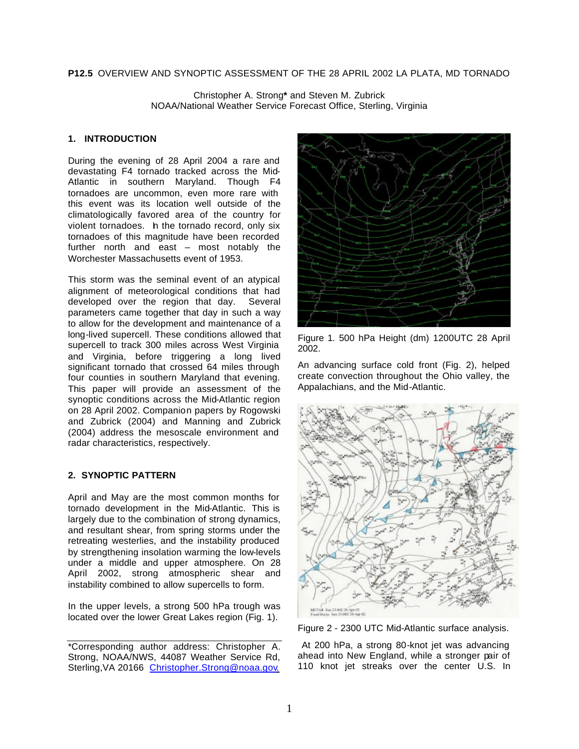## **P12.5** OVERVIEW AND SYNOPTIC ASSESSMENT OF THE 28 APRIL 2002 LA PLATA, MD TORNADO

Christopher A. Strong**\*** and Steven M. Zubrick NOAA/National Weather Service Forecast Office, Sterling, Virginia

#### **1. INTRODUCTION**

During the evening of 28 April 2004 a rare and devastating F4 tornado tracked across the Mid-Atlantic in southern Maryland. Though F4 tornadoes are uncommon, even more rare with this event was its location well outside of the climatologically favored area of the country for violent tornadoes. h the tornado record, only six tornadoes of this magnitude have been recorded further north and east – most notably the Worchester Massachusetts event of 1953.

This storm was the seminal event of an atypical alignment of meteorological conditions that had developed over the region that day. Several parameters came together that day in such a way to allow for the development and maintenance of a long-lived supercell. These conditions allowed that supercell to track 300 miles across West Virginia and Virginia, before triggering a long lived significant tornado that crossed 64 miles through four counties in southern Maryland that evening. This paper will provide an assessment of the synoptic conditions across the Mid-Atlantic region on 28 April 2002. Companion papers by Rogowski and Zubrick (2004) and Manning and Zubrick (2004) address the mesoscale environment and radar characteristics, respectively.

## **2. SYNOPTIC PATTERN**

April and May are the most common months for tornado development in the Mid-Atlantic. This is largely due to the combination of strong dynamics, and resultant shear, from spring storms under the retreating westerlies, and the instability produced by strengthening insolation warming the low-levels under a middle and upper atmosphere. On 28 April 2002, strong atmospheric shear and instability combined to allow supercells to form.

In the upper levels, a strong 500 hPa trough was located over the lower Great Lakes region (Fig. 1).



Figure 1. 500 hPa Height (dm) 1200UTC 28 April 2002.

An advancing surface cold front (Fig. 2), helped create convection throughout the Ohio valley, the Appalachians, and the Mid-Atlantic.



Figure 2 - 2300 UTC Mid-Atlantic surface analysis.

 At 200 hPa, a strong 80-knot jet was advancing ahead into New England, while a stronger pair of 110 knot jet streaks over the center U.S. In

<sup>\*</sup>Corresponding author address: Christopher A. Strong, NOAA/NWS, 44087 Weather Service Rd, Sterling, VA 20166 Christopher.Strong@noaa.gov.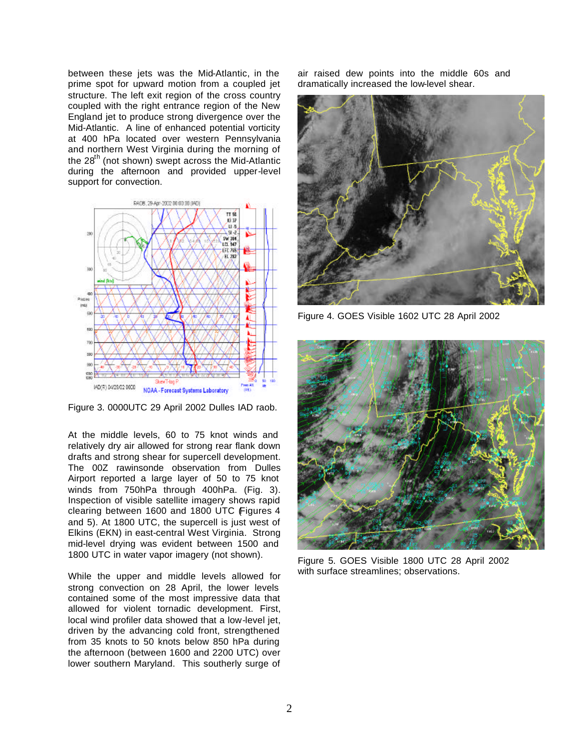between these jets was the Mid-Atlantic, in the prime spot for upward motion from a coupled jet structure. The left exit region of the cross country coupled with the right entrance region of the New England jet to produce strong divergence over the Mid-Atlantic. A line of enhanced potential vorticity at 400 hPa located over western Pennsylvania and northern West Virginia during the morning of the  $28<sup>th</sup>$  (not shown) swept across the Mid-Atlantic during the afternoon and provided upper-level support for convection.



Figure 3. 0000UTC 29 April 2002 Dulles IAD raob.

At the middle levels, 60 to 75 knot winds and relatively dry air allowed for strong rear flank down drafts and strong shear for supercell development. The 00Z rawinsonde observation from Dulles Airport reported a large layer of 50 to 75 knot winds from 750hPa through 400hPa. (Fig. 3). Inspection of visible satellite imagery shows rapid clearing between 1600 and 1800 UTC (Figures 4 and 5). At 1800 UTC, the supercell is just west of Elkins (EKN) in east-central West Virginia. Strong mid-level drying was evident between 1500 and 1800 UTC in water vapor imagery (not shown).

While the upper and middle levels allowed for strong convection on 28 April, the lower levels contained some of the most impressive data that allowed for violent tornadic development. First, local wind profiler data showed that a low-level jet, driven by the advancing cold front, strengthened from 35 knots to 50 knots below 850 hPa during the afternoon (between 1600 and 2200 UTC) over lower southern Maryland. This southerly surge of

air raised dew points into the middle 60s and dramatically increased the low-level shear.



Figure 4. GOES Visible 1602 UTC 28 April 2002



Figure 5. GOES Visible 1800 UTC 28 April 2002 with surface streamlines; observations.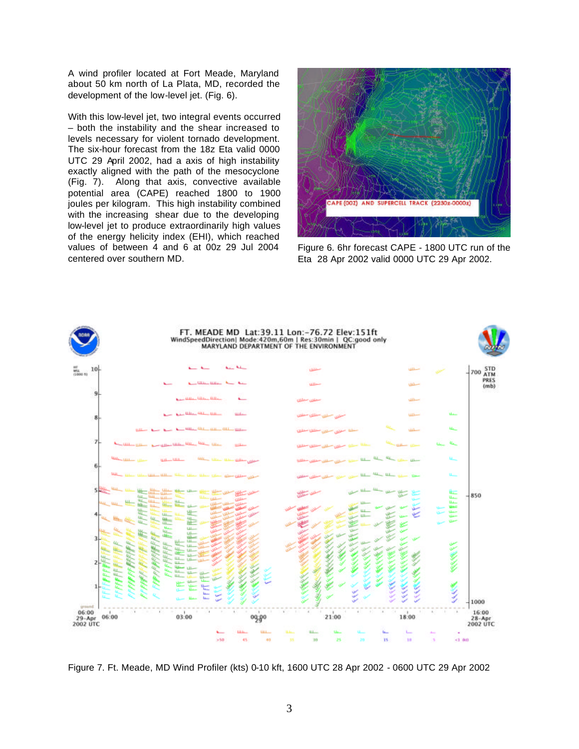A wind profiler located at Fort Meade, Maryland about 50 km north of La Plata, MD, recorded the development of the low-level jet. (Fig. 6).

With this low-level jet, two integral events occurred – both the instability and the shear increased to levels necessary for violent tornado development. The six-hour forecast from the 18z Eta valid 0000 UTC 29 April 2002, had a axis of high instability exactly aligned with the path of the mesocyclone (Fig. 7). Along that axis, convective available potential area (CAPE) reached 1800 to 1900 joules per kilogram. This high instability combined with the increasing shear due to the developing low-level jet to produce extraordinarily high values of the energy helicity index (EHI), which reached values of between 4 and 6 at 00z 29 Jul 2004 centered over southern MD.



Figure 6. 6hr forecast CAPE - 1800 UTC run of the Eta 28 Apr 2002 valid 0000 UTC 29 Apr 2002.



Figure 7. Ft. Meade, MD Wind Profiler (kts) 0-10 kft, 1600 UTC 28 Apr 2002 - 0600 UTC 29 Apr 2002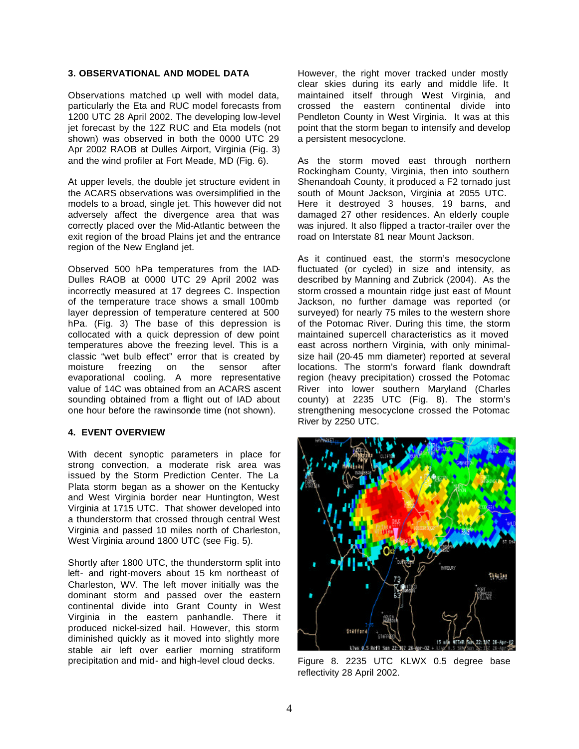## **3. OBSERVATIONAL AND MODEL DATA**

Observations matched up well with model data, particularly the Eta and RUC model forecasts from 1200 UTC 28 April 2002. The developing low-level jet forecast by the 12Z RUC and Eta models (not shown) was observed in both the 0000 UTC 29 Apr 2002 RAOB at Dulles Airport, Virginia (Fig. 3) and the wind profiler at Fort Meade, MD (Fig. 6).

At upper levels, the double jet structure evident in the ACARS observations was oversimplified in the models to a broad, single jet. This however did not adversely affect the divergence area that was correctly placed over the Mid-Atlantic between the exit region of the broad Plains jet and the entrance region of the New England jet.

Observed 500 hPa temperatures from the IAD-Dulles RAOB at 0000 UTC 29 April 2002 was incorrectly measured at 17 degrees C. Inspection of the temperature trace shows a small 100mb layer depression of temperature centered at 500 hPa. (Fig. 3) The base of this depression is collocated with a quick depression of dew point temperatures above the freezing level. This is a classic "wet bulb effect" error that is created by moisture freezing on the sensor after evaporational cooling. A more representative value of 14C was obtained from an ACARS ascent sounding obtained from a flight out of IAD about one hour before the rawinsonde time (not shown).

## **4. EVENT OVERVIEW**

With decent synoptic parameters in place for strong convection, a moderate risk area was issued by the Storm Prediction Center. The La Plata storm began as a shower on the Kentucky and West Virginia border near Huntington, West Virginia at 1715 UTC. That shower developed into a thunderstorm that crossed through central West Virginia and passed 10 miles north of Charleston, West Virginia around 1800 UTC (see Fig. 5).

Shortly after 1800 UTC, the thunderstorm split into left- and right-movers about 15 km northeast of Charleston, WV. The left mover initially was the dominant storm and passed over the eastern continental divide into Grant County in West Virginia in the eastern panhandle. There it produced nickel-sized hail. However, this storm diminished quickly as it moved into slightly more stable air left over earlier morning stratiform precipitation and mid- and high-level cloud decks.

However, the right mover tracked under mostly clear skies during its early and middle life. It maintained itself through West Virginia, and crossed the eastern continental divide into Pendleton County in West Virginia. It was at this point that the storm began to intensify and develop a persistent mesocyclone.

As the storm moved east through northern Rockingham County, Virginia, then into southern Shenandoah County, it produced a F2 tornado just south of Mount Jackson, Virginia at 2055 UTC. Here it destroyed 3 houses, 19 barns, and damaged 27 other residences. An elderly couple was injured. It also flipped a tractor-trailer over the road on Interstate 81 near Mount Jackson.

As it continued east, the storm's mesocyclone fluctuated (or cycled) in size and intensity, as described by Manning and Zubrick (2004). As the storm crossed a mountain ridge just east of Mount Jackson, no further damage was reported (or surveyed) for nearly 75 miles to the western shore of the Potomac River. During this time, the storm maintained supercell characteristics as it moved east across northern Virginia, with only minimalsize hail (20-45 mm diameter) reported at several locations. The storm's forward flank downdraft region (heavy precipitation) crossed the Potomac River into lower southern Maryland (Charles county) at 2235 UTC (Fig. 8). The storm's strengthening mesocyclone crossed the Potomac River by 2250 UTC.



Figure 8. 2235 UTC KLWX 0.5 degree base reflectivity 28 April 2002.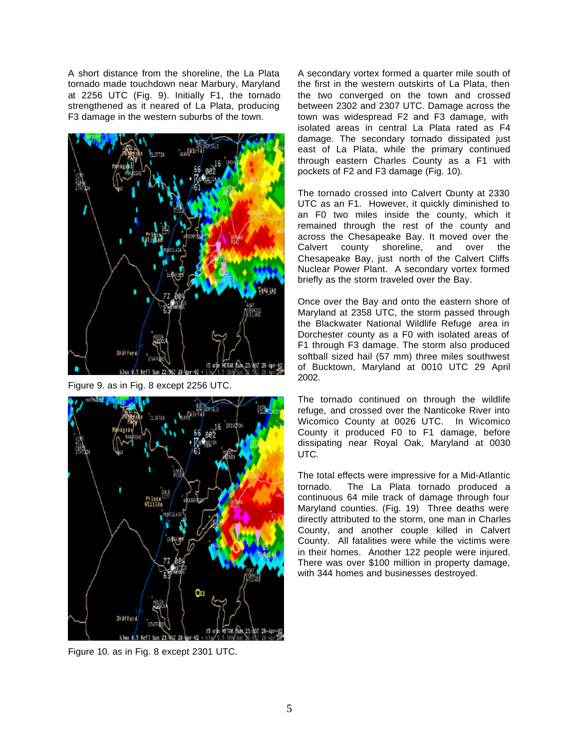A short distance from the shoreline, the La Plata tornado made touchdown near Marbury, Maryland at 2256 UTC (Fig. 9). Initially F1, the tornado strengthened as it neared of La Plata, producing F3 damage in the western suburbs of the town.



Figure 9. as in Fig. 8 except 2256 UTC.



Figure 10. as in Fig. 8 except 2301 UTC.

A secondary vortex formed a quarter mile south of the first in the western outskirts of La Plata, then the two converged on the town and crossed between 2302 and 2307 UTC. Damage across the town was widespread F2 and F3 damage, with isolated areas in central La Plata rated as F4 damage. The secondary tornado dissipated just east of La Plata, while the primary continued through eastern Charles County as a F1 with pockets of F2 and F3 damage (Fig. 10).

The tornado crossed into Calvert County at 2330 UTC as an F1. However, it quickly diminished to an F0 two miles inside the county, which it remained through the rest of the county and across the Chesapeake Bay. It moved over the Calvert county shoreline, and over the Chesapeake Bay, just north of the Calvert Cliffs Nuclear Power Plant. A secondary vortex formed briefly as the storm traveled over the Bay.

Once over the Bay and onto the eastern shore of Maryland at 2358 UTC, the storm passed through the Blackwater National Wildlife Refuge area in Dorchester county as a F0 with isolated areas of F1 through F3 damage. The storm also produced softball sized hail (57 mm) three miles southwest of Bucktown, Maryland at 0010 UTC 29 April 2002.

The tornado continued on through the wildlife refuge, and crossed over the Nanticoke River into Wicomico County at 0026 UTC. In Wicomico County it produced F0 to F1 damage, before dissipating near Royal Oak, Maryland at 0030 UTC.

The total effects were impressive for a Mid-Atlantic tornado. The La Plata tornado produced a continuous 64 mile track of damage through four Maryland counties. (Fig. 19) Three deaths were directly attributed to the storm, one man in Charles County, and another couple killed in Calvert County. All fatalities were while the victims were in their homes. Another 122 people were injured. There was over \$100 million in property damage, with 344 homes and businesses destroyed.